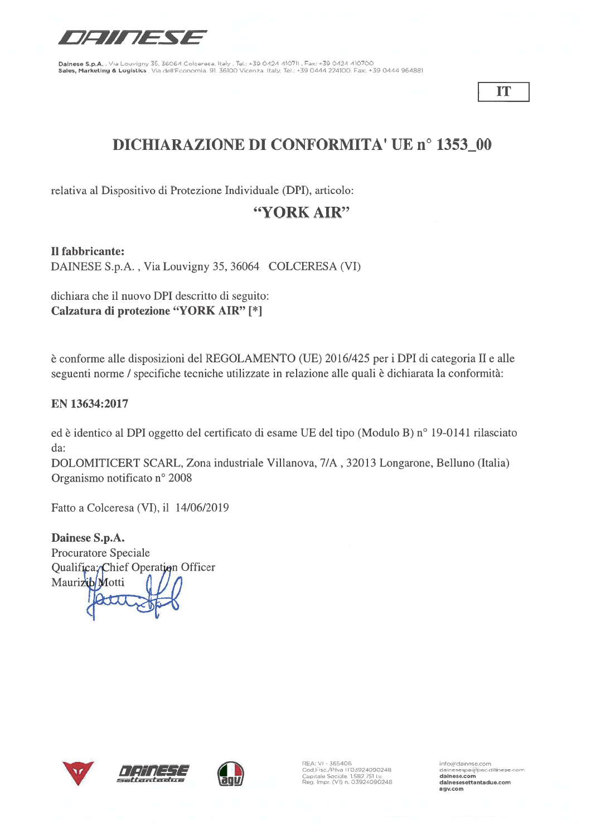

IT

# **DICHIARAZIONE DI CONFORMITA' UE nº 1353\_00**

relativa al Dispositivo di Protezione Individuale (DPI), articolo:

# "YORK AIR"

Il fabbricante:

DAINESE S.p.A., Via Louvigny 35, 36064 COLCERESA (VI)

dichiara che il nuovo DPI descritto di seguito: Calzatura di protezione "YORK AIR" [\*]

è conforme alle disposizioni del REGOLAMENTO (UE) 2016/425 per i DPI di categoria II e alle seguenti norme / specifiche tecniche utilizzate in relazione alle quali è dichiarata la conformità:

### EN 13634:2017

ed è identico al DPI oggetto del certificato di esame UE del tipo (Modulo B) nº 19-0141 rilasciato da:

DOLOMITICERT SCARL, Zona industriale Villanova, 7/A, 32013 Longarone, Belluno (Italia) Organismo notificato nº 2008

Fatto a Colceresa (VI), il 14/06/2019

Dainese S.p.A. Procuratore Speciale Qualifica; Chief Operation Officer Maurizib Motti







REA: VI - 365406<br>Cod.Fisc./P.Iva IT03924090248<br>Capitale Sociale. 1.582.751 I.v.<br>Reg. Impr. (VI) n. 03924090248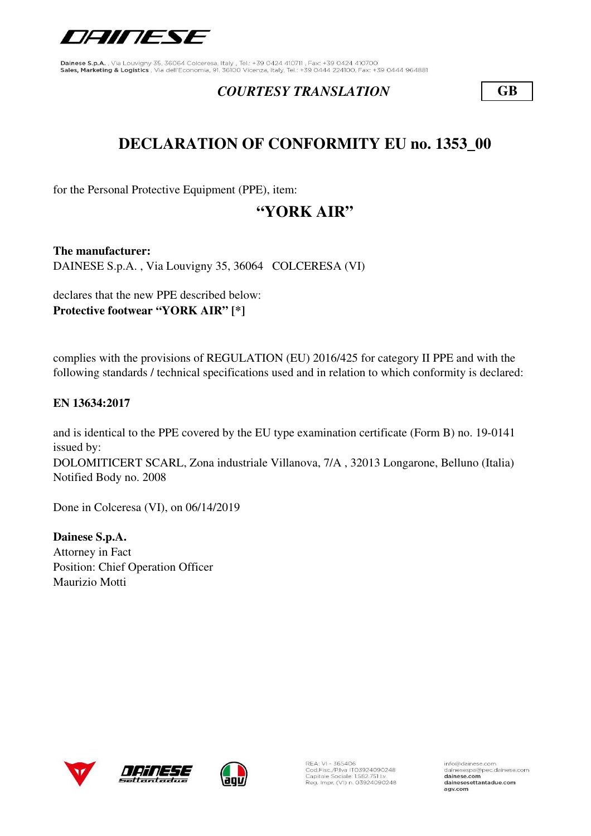

### *COURTESY TRANSLATION* **GB**

# **DECLARATION OF CONFORMITY EU no. 1353\_00**

for the Personal Protective Equipment (PPE), item:

# **"YORK AIR"**

**The manufacturer:** DAINESE S.p.A. , Via Louvigny 35, 36064 COLCERESA (VI)

declares that the new PPE described below: **Protective footwear "YORK AIR" [\*]**

complies with the provisions of REGULATION (EU) 2016/425 for category II PPE and with the following standards / technical specifications used and in relation to which conformity is declared:

#### **EN 13634:2017**

DOLOMITICERT SCARL, Zona industriale Villanova, 7/A , 32013 Longarone, Belluno (Italia) Notified Body no. 2008 and is identical to the PPE covered by the EU type examination certificate (Form B) no. 19-0141 issued by:

Done in Colceresa (VI), on 06/14/2019

**Dainese S.p.A.** Attorney in Fact Position: Chief Operation Officer Maurizio Motti







REA: VI - 365406<br>Cod.Fisc./P.Iva IT03924090248<br>Capitale Sociale: 1.582.751 I.v. Reg. Impr. (VI) n. 03924090248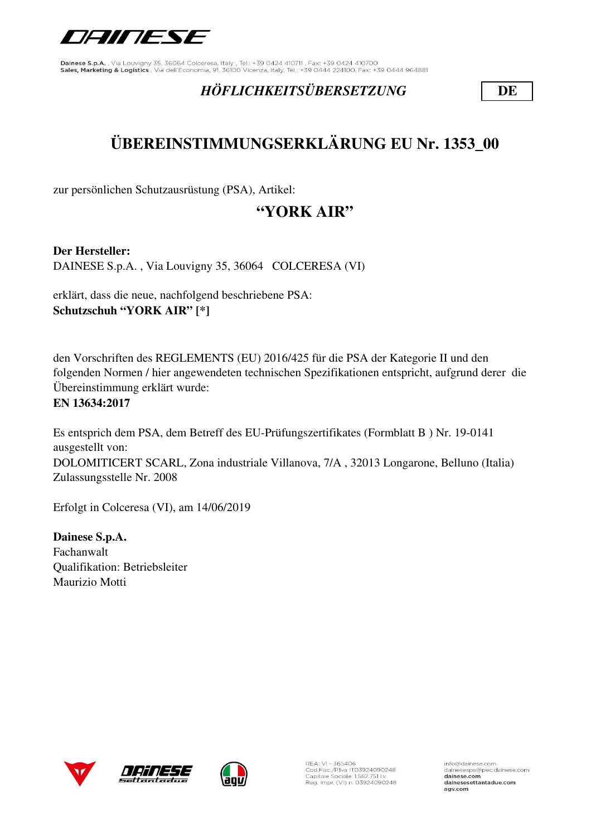

## *HÖFLICHKEITSÜBERSETZUNG* **DE**

# **ÜBEREINSTIMMUNGSERKLÄRUNG EU Nr. 1353\_00**

zur persönlichen Schutzausrüstung (PSA), Artikel:

# **"YORK AIR"**

**Der Hersteller:**

DAINESE S.p.A. , Via Louvigny 35, 36064 COLCERESA (VI)

erklärt, dass die neue, nachfolgend beschriebene PSA: **Schutzschuh "YORK AIR" [\*]**

den Vorschriften des REGLEMENTS (EU) 2016/425 für die PSA der Kategorie II und den folgenden Normen / hier angewendeten technischen Spezifikationen entspricht, aufgrund derer die Übereinstimmung erklärt wurde: **EN 13634:2017**

Es entsprich dem PSA, dem Betreff des EU-Prüfungszertifikates (Formblatt B ) Nr. 19-0141 ausgestellt von: DOLOMITICERT SCARL, Zona industriale Villanova, 7/A , 32013 Longarone, Belluno (Italia) Zulassungsstelle Nr. 2008

Erfolgt in Colceresa (VI), am 14/06/2019

**Dainese S.p.A.** Fachanwalt Qualifikation: Betriebsleiter Maurizio Motti







REA: VI - 365406<br>Cod.Fisc./P.Iva IT03924090248<br>Capitale Sociale: 1.582.751 I.v. Reg. Impr. (VI) n. 03924090248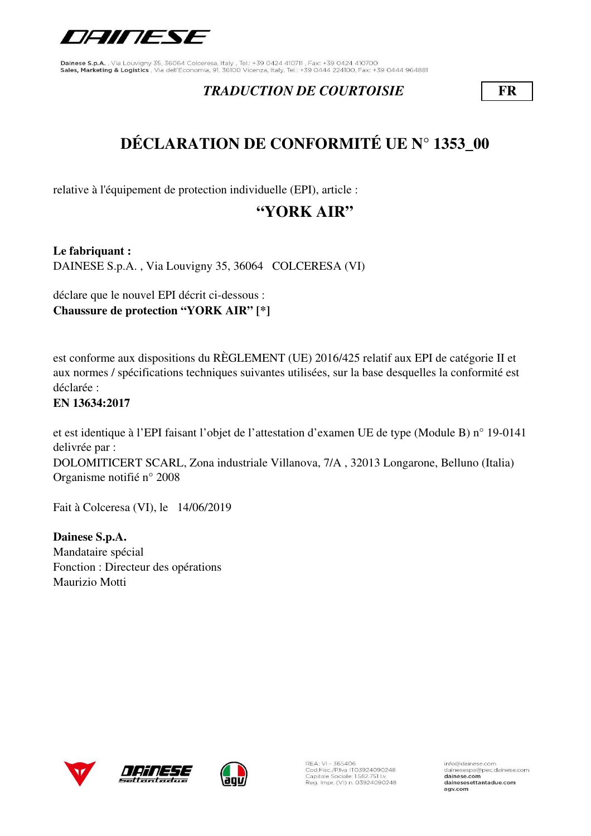

### *TRADUCTION DE COURTOISIE* **FR**

# **DÉCLARATION DE CONFORMITÉ UE N° 1353\_00**

relative à l'équipement de protection individuelle (EPI), article :

# **"YORK AIR"**

**Le fabriquant :** DAINESE S.p.A. , Via Louvigny 35, 36064 COLCERESA (VI)

déclare que le nouvel EPI décrit ci-dessous : **Chaussure de protection "YORK AIR" [\*]**

est conforme aux dispositions du RÈGLEMENT (UE) 2016/425 relatif aux EPI de catégorie II et aux normes / spécifications techniques suivantes utilisées, sur la base desquelles la conformité est déclarée :

### **EN 13634:2017**

et est identique à l'EPI faisant l'objet de l'attestation d'examen UE de type (Module B) n° 19-0141 delivrée par :

DOLOMITICERT SCARL, Zona industriale Villanova, 7/A , 32013 Longarone, Belluno (Italia) Organisme notifié n° 2008

Fait à Colceresa (VI), le 14/06/2019

**Dainese S.p.A.** Mandataire spécial Fonction : Directeur des opérations Maurizio Motti







REA: VI - 365406<br>Cod.Fisc./P.Iva IT03924090248<br>Capitale Sociale: 1.582.751 I.v. Reg. Impr. (VI) n. 03924090248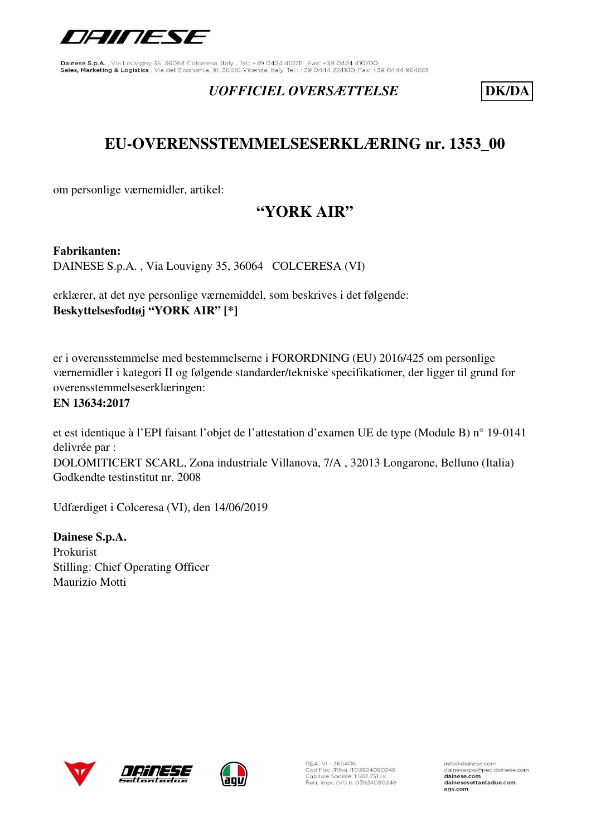

### *UOFFICIEL OVERSÆTTELSE* **DK/DA**

# **EU-OVERENSSTEMMELSESERKLÆRING nr. 1353\_00**

om personlige værnemidler, artikel:

# **"YORK AIR"**

**Fabrikanten:** 

DAINESE S.p.A. , Via Louvigny 35, 36064 COLCERESA (VI)

erklærer, at det nye personlige værnemiddel, som beskrives i det følgende: **Beskyttelsesfodtøj "YORK AIR" [\*]**

er i overensstemmelse med bestemmelserne i FORORDNING (EU) 2016/425 om personlige værnemidler i kategori II og følgende standarder/tekniske specifikationer, der ligger til grund for overensstemmelseserklæringen:

#### **EN 13634:2017**

et est identique à l'EPI faisant l'objet de l'attestation d'examen UE de type (Module B) n° 19-0141 delivrée par : DOLOMITICERT SCARL, Zona industriale Villanova, 7/A , 32013 Longarone, Belluno (Italia) Godkendte testinstitut nr. 2008

Udfærdiget i Colceresa (VI), den 14/06/2019

**Dainese S.p.A.** Prokurist Stilling: Chief Operating Officer Maurizio Motti







REA: VI - 365406<br>Cod.Fisc./P.Iva IT03924090248<br>Capitale Sociale: 1.582.751 I.v. Reg. Impr. (VI) n. 03924090248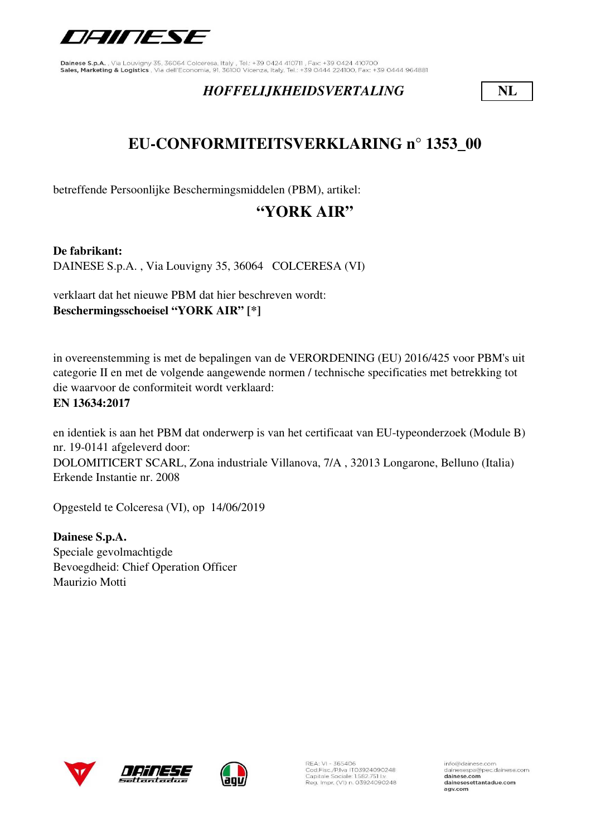

### *HOFFELIJKHEIDSVERTALING* **NL**

# **EU-CONFORMITEITSVERKLARING n° 1353\_00**

betreffende Persoonlijke Beschermingsmiddelen (PBM), artikel:

# **"YORK AIR"**

**De fabrikant:** DAINESE S.p.A. , Via Louvigny 35, 36064 COLCERESA (VI)

verklaart dat het nieuwe PBM dat hier beschreven wordt: **Beschermingsschoeisel "YORK AIR" [\*]**

in overeenstemming is met de bepalingen van de VERORDENING (EU) 2016/425 voor PBM's uit categorie II en met de volgende aangewende normen / technische specificaties met betrekking tot die waarvoor de conformiteit wordt verklaard: **EN 13634:2017**

en identiek is aan het PBM dat onderwerp is van het certificaat van EU-typeonderzoek (Module B) nr. 19-0141 afgeleverd door: DOLOMITICERT SCARL, Zona industriale Villanova, 7/A , 32013 Longarone, Belluno (Italia) Erkende Instantie nr. 2008

Opgesteld te Colceresa (VI), op 14/06/2019

**Dainese S.p.A.** Speciale gevolmachtigde Bevoegdheid: Chief Operation Officer Maurizio Motti





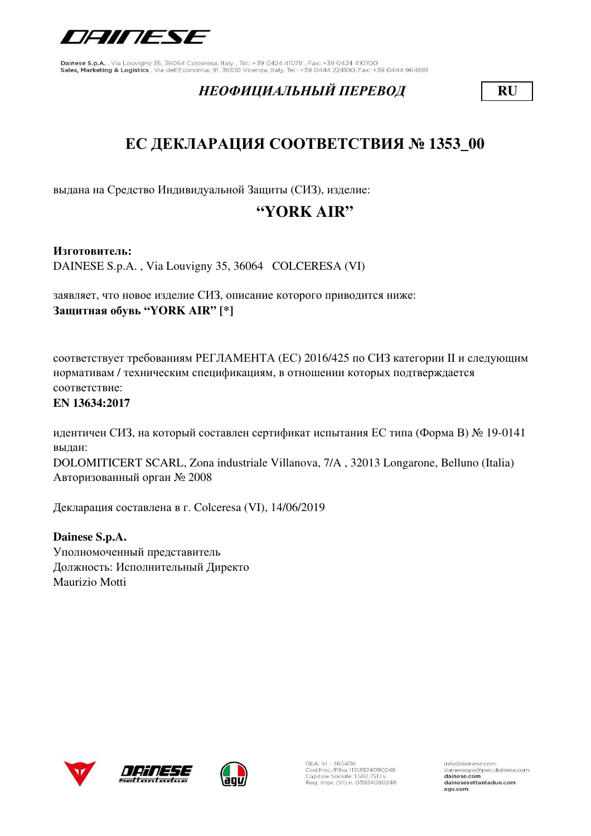

### *НЕОФИЦИАЛЬНЫЙ ПЕРЕВОД* **RU**

# **ЕС ДЕКЛАРАЦИЯ СООТВЕТСТВИЯ № 1353\_00**

выдана на Средство Индивидуальной Защиты (СИЗ), изделие:

# **"YORK AIR"**

#### **Изготовитель:**

DAINESE S.p.A. , Via Louvigny 35, 36064 COLCERESA (VI)

заявляет, что новое изделие СИЗ, описание которого приводится ниже: **Защитная обувь "YORK AIR" [\*]**

соответствует требованиям РЕГЛАМЕНТА (ЕС) 2016/425 по СИЗ категории II и следующим нормативам / техническим спецификациям, в отношении которых подтверждается соответствие:

#### **EN 13634:2017**

идентичен СИЗ, на который составлен сертификат испытания ЕС типа (Форма В) № 19-0141 выдан:

DOLOMITICERT SCARL, Zona industriale Villanova, 7/A , 32013 Longarone, Belluno (Italia) Авторизованный орган № 2008

Декларация составлена в г. Colceresa (VI), 14/06/2019

**Dainese S.p.A.** Уполномоченный представитель Должность: Исполнительный Директо Maurizio Motti





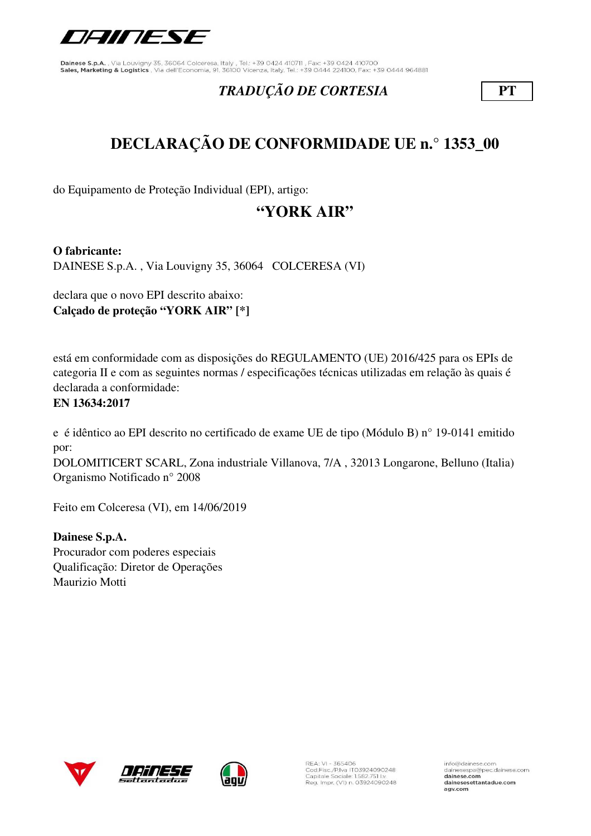

## *TRADUÇÃO DE CORTESIA* **PT**

# **DECLARAÇÃO DE CONFORMIDADE UE n.° 1353\_00**

do Equipamento de Proteção Individual (EPI), artigo:

# **"YORK AIR"**

**O fabricante:**

DAINESE S.p.A. , Via Louvigny 35, 36064 COLCERESA (VI)

declara que o novo EPI descrito abaixo: **Calçado de proteção "YORK AIR" [\*]**

está em conformidade com as disposições do REGULAMENTO (UE) 2016/425 para os EPIs de categoria II e com as seguintes normas / especificações técnicas utilizadas em relação às quais é declarada a conformidade:

### **EN 13634:2017**

e é idêntico ao EPI descrito no certificado de exame UE de tipo (Módulo B) n° 19-0141 emitido por:

DOLOMITICERT SCARL, Zona industriale Villanova, 7/A , 32013 Longarone, Belluno (Italia) Organismo Notificado n° 2008

Feito em Colceresa (VI), em 14/06/2019

**Dainese S.p.A.** Procurador com poderes especiais Qualificação: Diretor de Operações Maurizio Motti





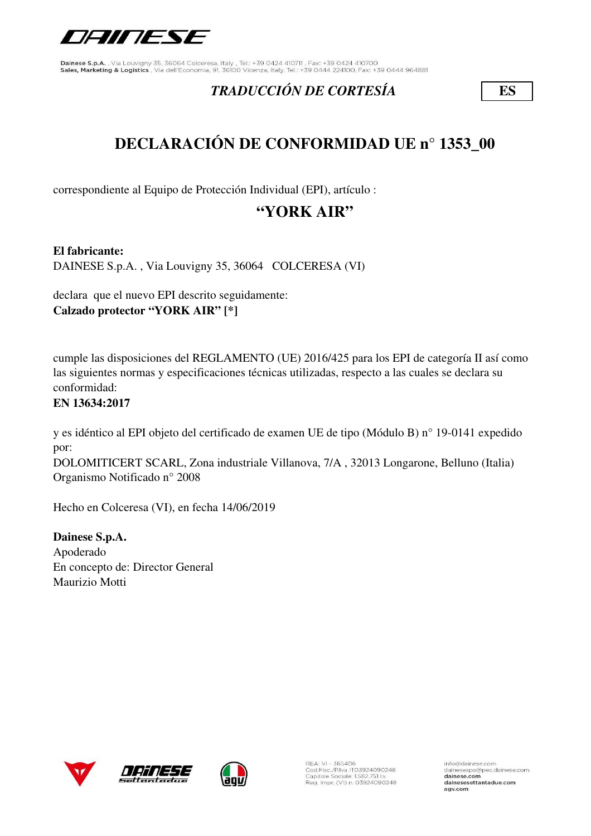

## *TRADUCCIÓN DE CORTESÍA* **ES**

# **DECLARACIÓN DE CONFORMIDAD UE n° 1353\_00**

correspondiente al Equipo de Protección Individual (EPI), artículo :

# **"YORK AIR"**

**El fabricante:**

DAINESE S.p.A. , Via Louvigny 35, 36064 COLCERESA (VI)

declara que el nuevo EPI descrito seguidamente: **Calzado protector "YORK AIR" [\*]**

cumple las disposiciones del REGLAMENTO (UE) 2016/425 para los EPI de categoría II así como las siguientes normas y especificaciones técnicas utilizadas, respecto a las cuales se declara su conformidad:

### **EN 13634:2017**

y es idéntico al EPI objeto del certificado de examen UE de tipo (Módulo B) n° 19-0141 expedido por:

DOLOMITICERT SCARL, Zona industriale Villanova, 7/A , 32013 Longarone, Belluno (Italia) Organismo Notificado n° 2008

Hecho en Colceresa (VI), en fecha 14/06/2019

**Dainese S.p.A.** Apoderado En concepto de: Director General Maurizio Motti





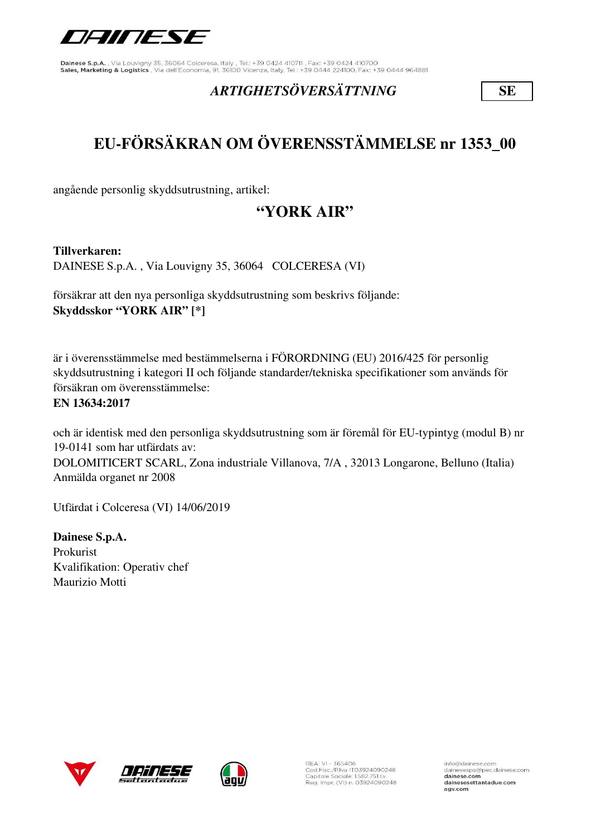

## *ARTIGHETSÖVERSÄTTNING* **SE**

# **EU-FÖRSÄKRAN OM ÖVERENSSTÄMMELSE nr 1353\_00**

angående personlig skyddsutrustning, artikel:

# **"YORK AIR"**

**Tillverkaren:** 

DAINESE S.p.A. , Via Louvigny 35, 36064 COLCERESA (VI)

försäkrar att den nya personliga skyddsutrustning som beskrivs följande: **Skyddsskor "YORK AIR" [\*]**

är i överensstämmelse med bestämmelserna i FÖRORDNING (EU) 2016/425 för personlig skyddsutrustning i kategori II och följande standarder/tekniska specifikationer som används för försäkran om överensstämmelse:

### **EN 13634:2017**

och är identisk med den personliga skyddsutrustning som är föremål för EU-typintyg (modul B) nr 19-0141 som har utfärdats av: DOLOMITICERT SCARL, Zona industriale Villanova, 7/A , 32013 Longarone, Belluno (Italia) Anmälda organet nr 2008

Utfärdat i Colceresa (VI) 14/06/2019

**Dainese S.p.A.** Prokurist Kvalifikation: Operativ chef Maurizio Motti







REA: VI - 365406<br>Cod.Fisc./P.Iva IT03924090248<br>Capitale Sociale: 1.582.751 I.v. Reg. Impr. (VI) n. 03924090248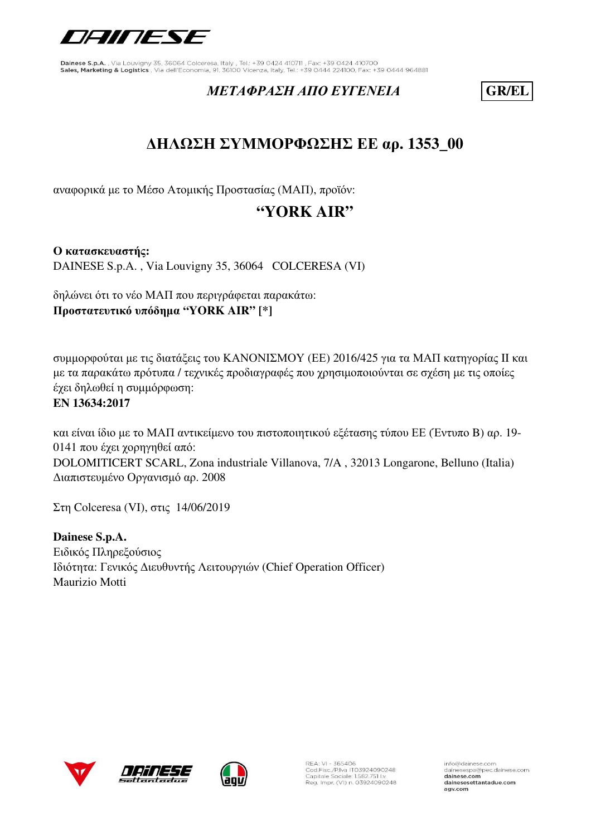

### *ΜΕΤΑΦΡΑΣΗ ΑΠΟ ΕΥΓΕΝΕΙΑ* **GR/EL**

# **ΔΗΛΩΣΗ ΣΥΜΜΟΡΦΩΣΗΣ ΕΕ αρ. 1353\_00**

αναφορικά με το Μέσο Ατομικής Προστασίας (ΜΑΠ), προϊόν:

# **"YORK AIR"**

**Ο κατασκευαστής:** DAINESE S.p.A. , Via Louvigny 35, 36064 COLCERESA (VI)

δηλώνει ότι το νέο ΜΑΠ που περιγράφεται παρακάτω: **Προστατευτικό υπόδημα "YORK AIR" [\*]**

συμμορφούται με τις διατάξεις του ΚΑΝΟΝΙΣΜΟΥ (ΕΕ) 2016/425 για τα ΜΑΠ κατηγορίας II και με τα παρακάτω πρότυπα / τεχνικές προδιαγραφές που χρησιμοποιούνται σε σχέση με τις οποίες έχει δηλωθεί η συμμόρφωση: **EN 13634:2017**

και είναι ίδιο με το ΜΑΠ αντικείμενο του πιστοποιητικού εξέτασης τύπου ΕΕ (Έντυπο B) αρ. 19- 0141 που έχει χορηγηθεί από: DOLOMITICERT SCARL, Zona industriale Villanova, 7/A , 32013 Longarone, Belluno (Italia) Διαπιστευμένο Οργανισμό αρ. 2008

Στη Colceresa (VI), στις 14/06/2019

**Dainese S.p.A.** Ειδικός Πληρεξούσιος Ιδιότητα: Γενικός Διευθυντής Λειτουργιών (Chief Operation Officer) Maurizio Motti





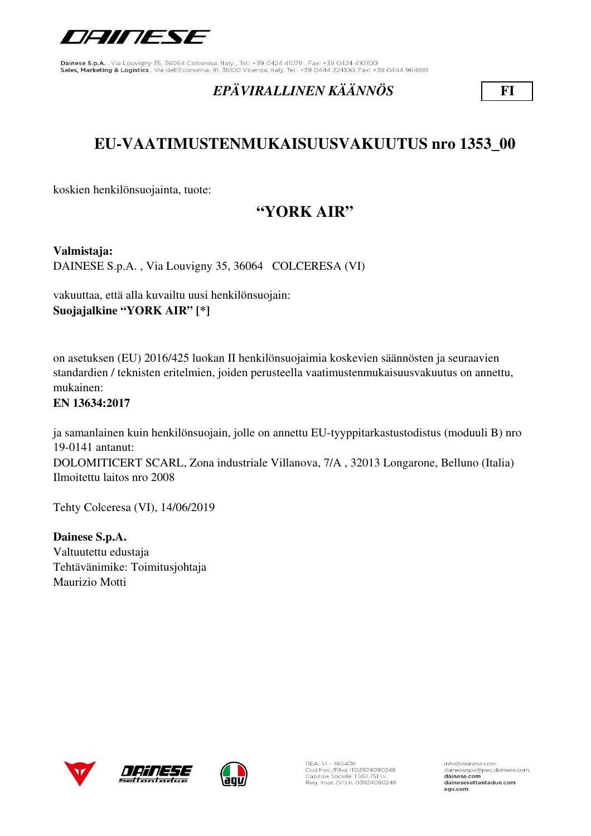

## *EPÄVIRALLINEN KÄÄNNÖS* **FI**

# **EU-VAATIMUSTENMUKAISUUSVAKUUTUS nro 1353\_00**

koskien henkilönsuojainta, tuote:

# **"YORK AIR"**

**Valmistaja:** 

DAINESE S.p.A. , Via Louvigny 35, 36064 COLCERESA (VI)

vakuuttaa, että alla kuvailtu uusi henkilönsuojain: **Suojajalkine "YORK AIR" [\*]**

on asetuksen (EU) 2016/425 luokan II henkilönsuojaimia koskevien säännösten ja seuraavien standardien / teknisten eritelmien, joiden perusteella vaatimustenmukaisuusvakuutus on annettu, mukainen:

#### **EN 13634:2017**

ja samanlainen kuin henkilönsuojain, jolle on annettu EU-tyyppitarkastustodistus (moduuli B) nro 19-0141 antanut: DOLOMITICERT SCARL, Zona industriale Villanova, 7/A , 32013 Longarone, Belluno (Italia) Ilmoitettu laitos nro 2008

Tehty Colceresa (VI), 14/06/2019

**Dainese S.p.A.** Valtuutettu edustaja Tehtävänimike: Toimitusjohtaja Maurizio Motti







REA: VI - 365406<br>Cod.Fisc./P.Iva IT03924090248<br>Capitale Sociale: 1.582.751 I.v. Reg. Impr. (VI) n. 03924090248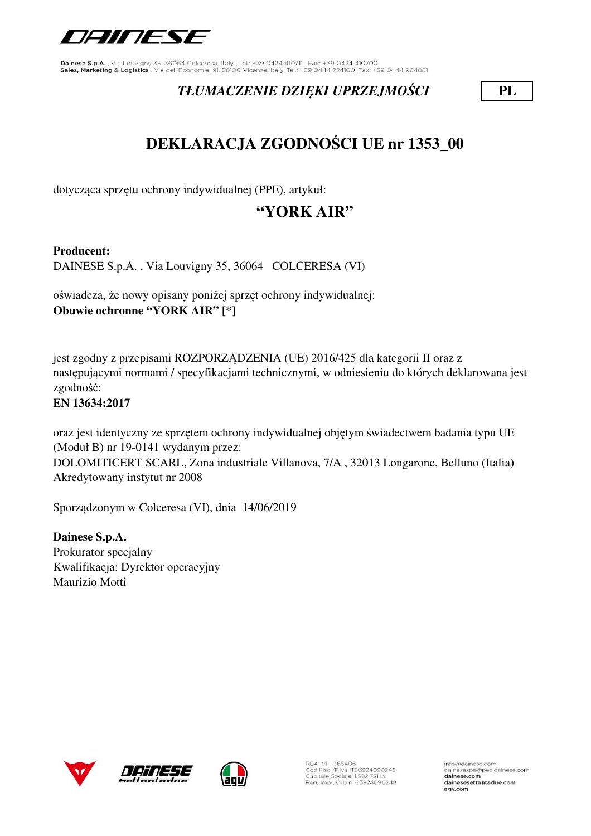

## *TŁUMACZENIE DZIĘKI UPRZEJMOŚCI* **PL**

# **DEKLARACJA ZGODNOŚCI UE nr 1353\_00**

dotycząca sprzętu ochrony indywidualnej (PPE), artykuł:

# **"YORK AIR"**

### **Producent:**

DAINESE S.p.A. , Via Louvigny 35, 36064 COLCERESA (VI)

oświadcza, że nowy opisany poniżej sprzęt ochrony indywidualnej: **Obuwie ochronne "YORK AIR" [\*]**

jest zgodny z przepisami ROZPORZĄDZENIA (UE) 2016/425 dla kategorii II oraz z następującymi normami / specyfikacjami technicznymi, w odniesieniu do których deklarowana jest zgodność:

### **EN 13634:2017**

oraz jest identyczny ze sprzętem ochrony indywidualnej objętym świadectwem badania typu UE (Moduł B) nr 19-0141 wydanym przez:

DOLOMITICERT SCARL, Zona industriale Villanova, 7/A , 32013 Longarone, Belluno (Italia) Akredytowany instytut nr 2008

Sporządzonym w Colceresa (VI), dnia 14/06/2019

**Dainese S.p.A.** Prokurator specjalny Kwalifikacja: Dyrektor operacyjny Maurizio Motti





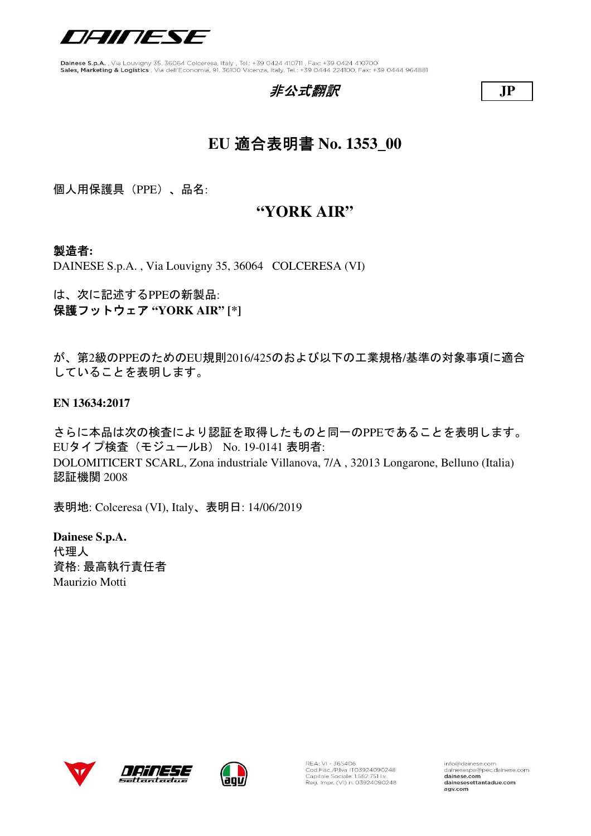

### 非公式翻訳 **JP**



# **EU** 適合表明書 **No. 1353\_00**

個人用保護具(PPE)、品名:

### **"YORK AIR"**

### 製造者**:**

DAINESE S.p.A. , Via Louvigny 35, 36064 COLCERESA (VI)

は、次に記述するPPEの新製品: 保護フットウェア **"YORK AIR" [\*]**

が、第2級のPPEのためのEU規則2016/425のおよび以下の工業規格/基準の対象事項に適合 していることを表明します。

**EN 13634:2017**

さらに本品は次の検査により認証を取得したものと同一のPPEであることを表明します。 EUタイプ検査(モジュールB) No. 19-0141 表明者: DOLOMITICERT SCARL, Zona industriale Villanova, 7/A , 32013 Longarone, Belluno (Italia) 認証機関 2008

表明地: Colceresa (VI), Italy、表明日: 14/06/2019

**Dainese S.p.A.** 代理人 資格: 最高執行責任者 Maurizio Motti







REA: VI - 365406<br>Cod.Fisc./P.Iva IT03924090248<br>Capitale Sociale: 1.582.751 I.v. Reg. Impr. (VI) n. 03924090248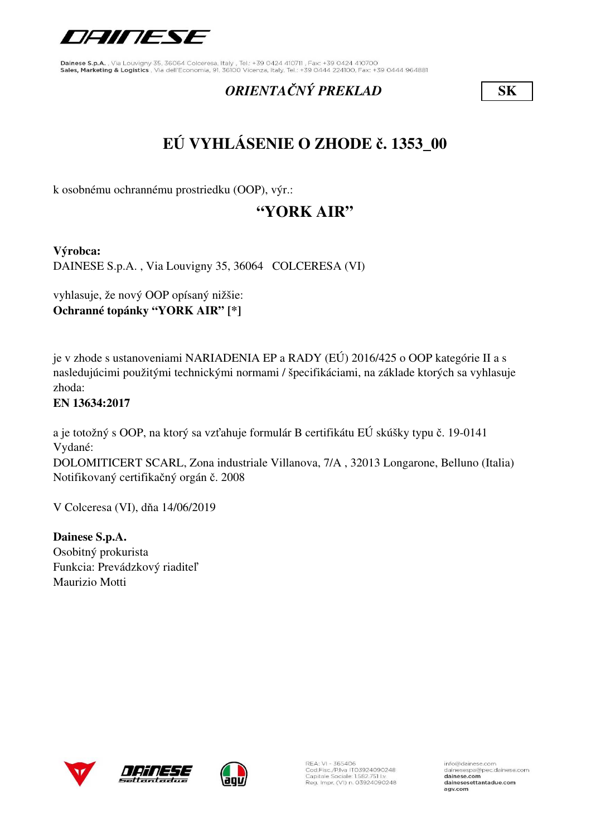

### *ORIENTAČNÝ PREKLAD* **SK**

# **EÚ VYHLÁSENIE O ZHODE č. 1353\_00**

k osobnému ochrannému prostriedku (OOP), výr.:

# **"YORK AIR"**

**Výrobca:**

DAINESE S.p.A. , Via Louvigny 35, 36064 COLCERESA (VI)

vyhlasuje, že nový OOP opísaný nižšie: **Ochranné topánky "YORK AIR" [\*]**

je v zhode s ustanoveniami NARIADENIA EP a RADY (EÚ) 2016/425 o OOP kategórie II a s nasledujúcimi použitými technickými normami / špecifikáciami, na základe ktorých sa vyhlasuje zhoda:

### **EN 13634:2017**

a je totožný s OOP, na ktorý sa vzťahuje formulár B certifikátu EÚ skúšky typu č. 19-0141 Vydané:

DOLOMITICERT SCARL, Zona industriale Villanova, 7/A , 32013 Longarone, Belluno (Italia) Notifikovaný certifikačný orgán č. 2008

V Colceresa (VI), dňa 14/06/2019

**Dainese S.p.A.** Osobitný prokurista Funkcia: Prevádzkový riaditeľ Maurizio Motti





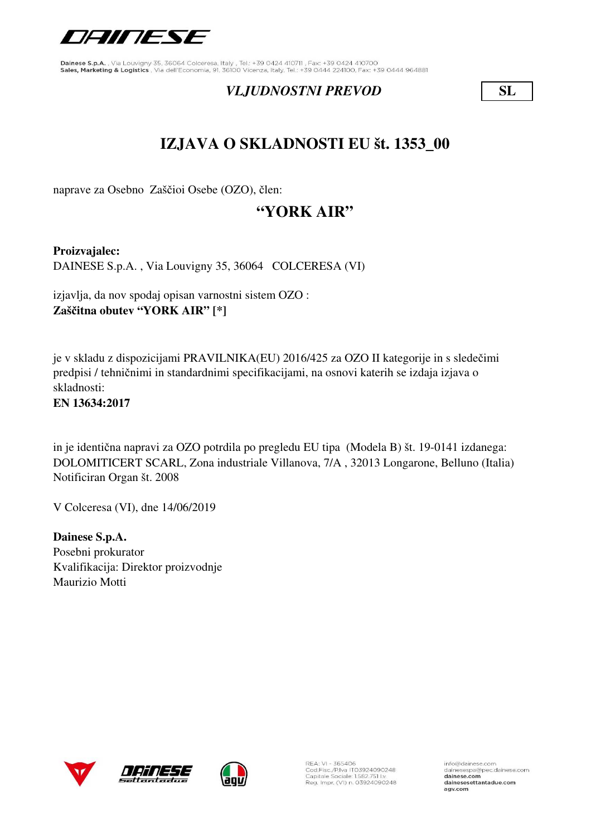

### *VLJUDNOSTNI PREVOD* **SL**

# **IZJAVA O SKLADNOSTI EU št. 1353\_00**

naprave za Osebno Zaščioi Osebe (OZO), člen:

# **"YORK AIR"**

**Proizvajalec:** DAINESE S.p.A. , Via Louvigny 35, 36064 COLCERESA (VI)

izjavlja, da nov spodaj opisan varnostni sistem OZO : **Zaščitna obutev "YORK AIR" [\*]**

je v skladu z dispozicijami PRAVILNIKA(EU) 2016/425 za OZO II kategorije in s sledečimi predpisi / tehničnimi in standardnimi specifikacijami, na osnovi katerih se izdaja izjava o skladnosti:

**EN 13634:2017**

in je identična napravi za OZO potrdila po pregledu EU tipa (Modela B) št. 19-0141 izdanega: DOLOMITICERT SCARL, Zona industriale Villanova, 7/A , 32013 Longarone, Belluno (Italia) Notificiran Organ št. 2008

V Colceresa (VI), dne 14/06/2019

**Dainese S.p.A.** Posebni prokurator Kvalifikacija: Direktor proizvodnje Maurizio Motti







REA: VI - 365406<br>Cod.Fisc./P.Iva IT03924090248<br>Capitale Sociale: 1.582.751 Lv. Reg. Impr. (VI) n. 03924090248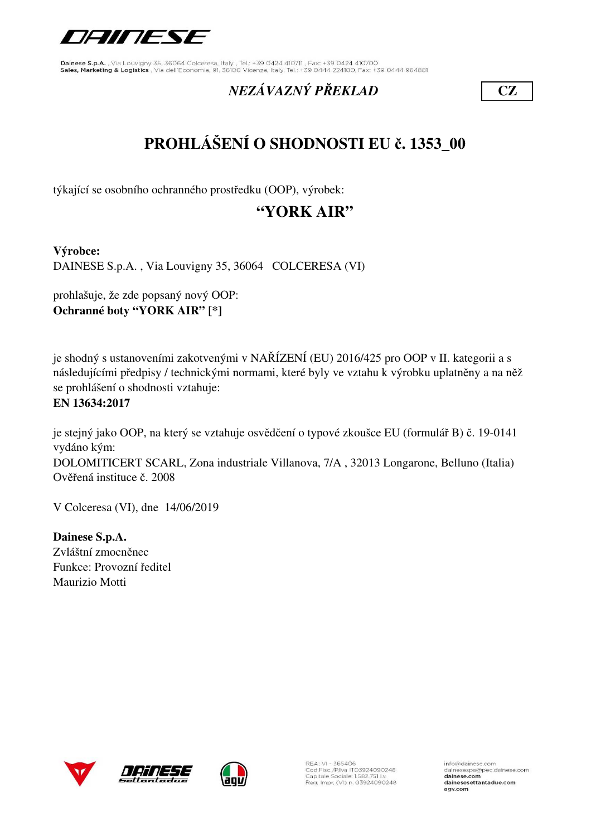

# *NEZÁVAZNÝ PŘEKLAD* **CZ**

# **PROHLÁŠENÍ O SHODNOSTI EU č. 1353\_00**

týkající se osobního ochranného prostředku (OOP), výrobek:

# **"YORK AIR"**

**Výrobce:**

DAINESE S.p.A. , Via Louvigny 35, 36064 COLCERESA (VI)

prohlašuje, že zde popsaný nový OOP: **Ochranné boty "YORK AIR" [\*]**

je shodný s ustanoveními zakotvenými v NAŘÍZENÍ (EU) 2016/425 pro OOP v II. kategorii a s následujícími předpisy / technickými normami, které byly ve vztahu k výrobku uplatněny a na něž se prohlášení o shodnosti vztahuje:

#### **EN 13634:2017**

je stejný jako OOP, na který se vztahuje osvědčení o typové zkoušce EU (formulář B) č. 19-0141 vydáno kým: DOLOMITICERT SCARL, Zona industriale Villanova, 7/A , 32013 Longarone, Belluno (Italia) Ověřená instituce č. 2008

V Colceresa (VI), dne 14/06/2019

**Dainese S.p.A.** Zvláštní zmocněnec Funkce: Provozní ředitel Maurizio Motti







REA: VI - 365406<br>Cod.Fisc./P.Iva IT03924090248<br>Capitale Sociale: 1.582.751 I.v. Reg. Impr. (VI) n. 03924090248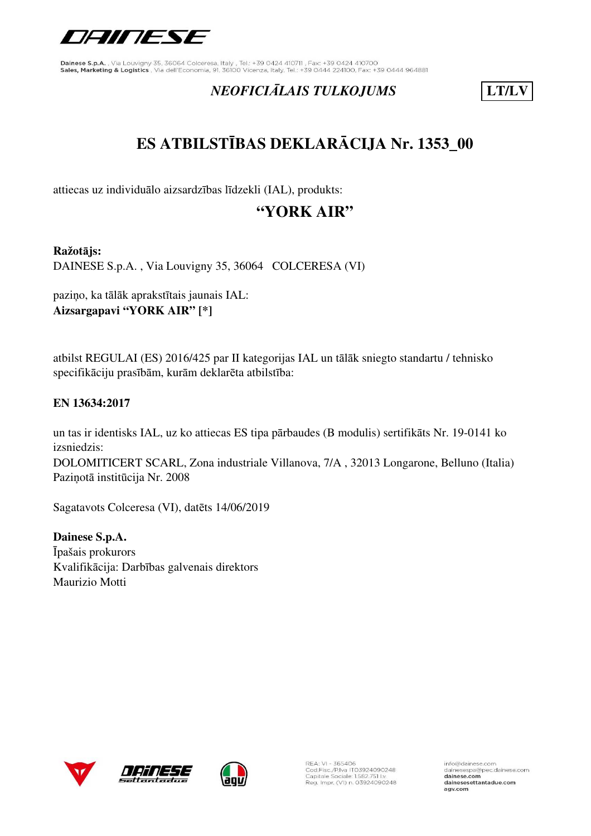

# *NEOFICIĀLAIS TULKOJUMS* **LT/LV**

# **ES ATBILSTĪBAS DEKLARĀCIJA Nr. 1353\_00**

attiecas uz individuālo aizsardzības līdzekli (IAL), produkts:

# **"YORK AIR"**

#### **Ražotājs:**

DAINESE S.p.A. , Via Louvigny 35, 36064 COLCERESA (VI)

paziņo, ka tālāk aprakstītais jaunais IAL: **Aizsargapavi "YORK AIR" [\*]**

atbilst REGULAI (ES) 2016/425 par II kategorijas IAL un tālāk sniegto standartu / tehnisko specifikāciju prasībām, kurām deklarēta atbilstība:

### **EN 13634:2017**

DOLOMITICERT SCARL, Zona industriale Villanova, 7/A , 32013 Longarone, Belluno (Italia) Paziņotā institūcija Nr. 2008 un tas ir identisks IAL, uz ko attiecas ES tipa pārbaudes (B modulis) sertifikāts Nr. 19-0141 ko izsniedzis:

Sagatavots Colceresa (VI), datēts 14/06/2019

**Dainese S.p.A.** Īpašais prokurors Kvalifikācija: Darbības galvenais direktors Maurizio Motti







REA: VI - 365406<br>Cod.Fisc./P.Iva IT03924090248<br>Capitale Sociale: 1.582.751 I.v. Reg. Impr. (VI) n. 03924090248